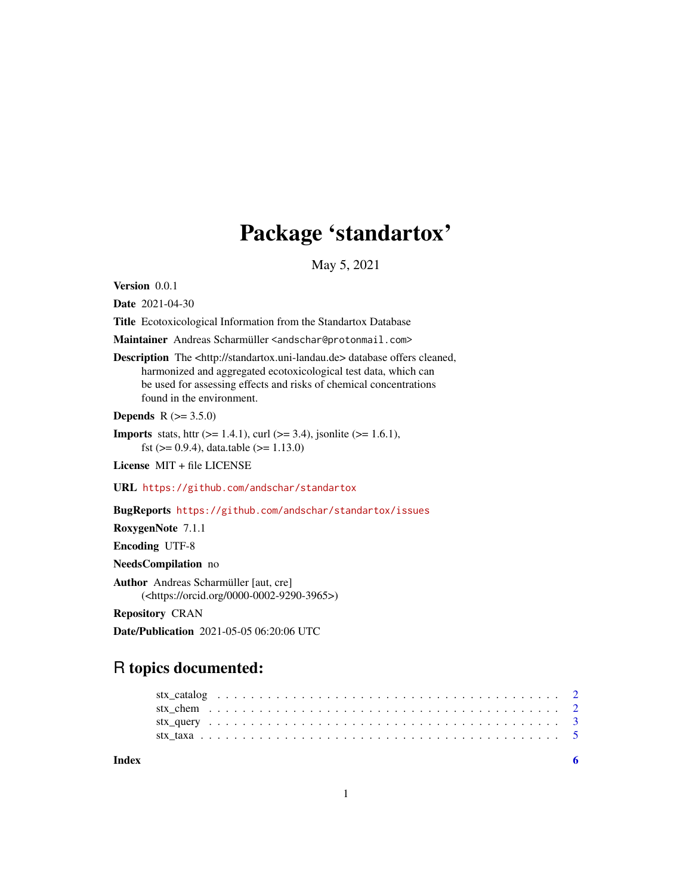## Package 'standartox'

May 5, 2021

Version 0.0.1

Date 2021-04-30

Title Ecotoxicological Information from the Standartox Database

Maintainer Andreas Scharmüller <andschar@protonmail.com>

Description The <http://standartox.uni-landau.de> database offers cleaned, harmonized and aggregated ecotoxicological test data, which can be used for assessing effects and risks of chemical concentrations found in the environment.

**Depends** R  $(>= 3.5.0)$ 

**Imports** stats, httr ( $>= 1.4.1$ ), curl ( $>= 3.4$ ), jsonlite ( $>= 1.6.1$ ), fst ( $> = 0.9.4$ ), data.table ( $> = 1.13.0$ )

License MIT + file LICENSE

URL <https://github.com/andschar/standartox>

BugReports <https://github.com/andschar/standartox/issues>

RoxygenNote 7.1.1

Encoding UTF-8

NeedsCompilation no

Author Andreas Scharmüller [aut, cre] (<https://orcid.org/0000-0002-9290-3965>)

Repository CRAN

Date/Publication 2021-05-05 06:20:06 UTC

### R topics documented:

**Index** [6](#page-5-0) **6**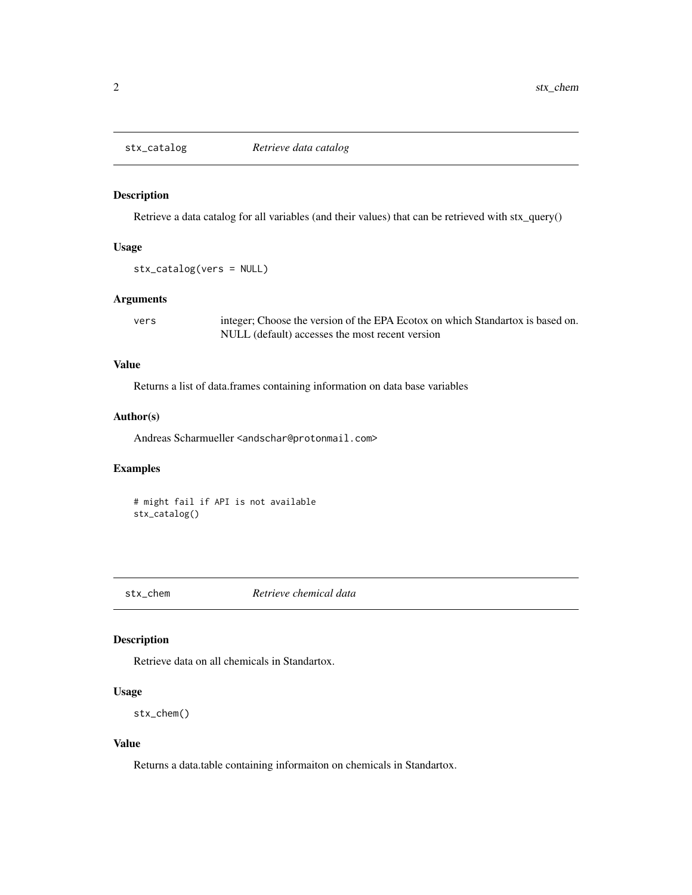<span id="page-1-0"></span>

#### Description

Retrieve a data catalog for all variables (and their values) that can be retrieved with stx\_query()

#### Usage

```
stx_catalog(vers = NULL)
```
#### Arguments

vers integer; Choose the version of the EPA Ecotox on which Standartox is based on. NULL (default) accesses the most recent version

#### Value

Returns a list of data.frames containing information on data base variables

#### Author(s)

Andreas Scharmueller <andschar@protonmail.com>

#### Examples

# might fail if API is not available stx\_catalog()

stx\_chem *Retrieve chemical data*

#### Description

Retrieve data on all chemicals in Standartox.

#### Usage

stx\_chem()

#### Value

Returns a data.table containing informaiton on chemicals in Standartox.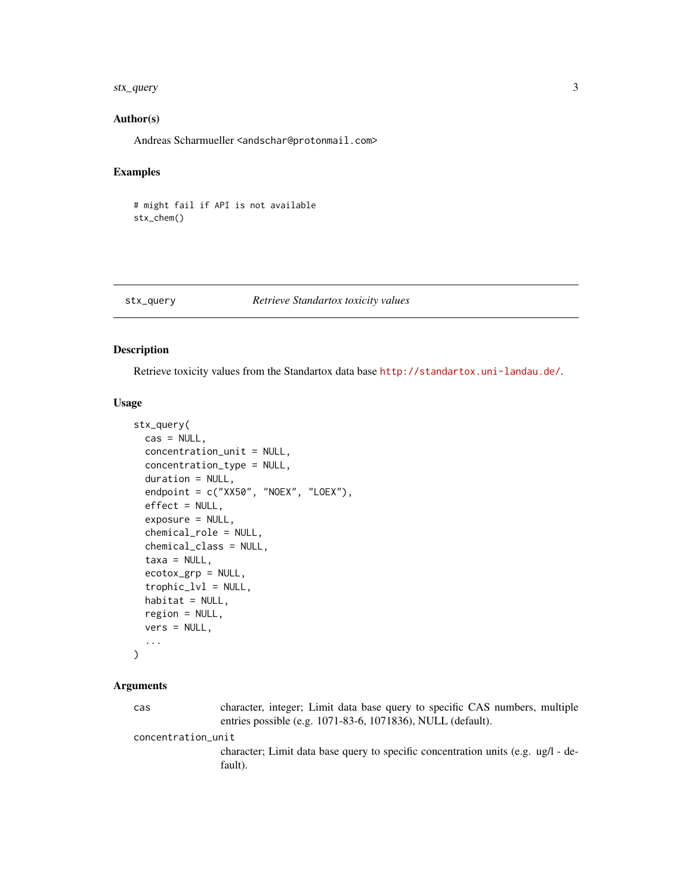#### <span id="page-2-0"></span>stx\_query 3

#### Author(s)

Andreas Scharmueller <andschar@protonmail.com>

#### Examples

# might fail if API is not available stx\_chem()

#### stx\_query *Retrieve Standartox toxicity values*

#### Description

Retrieve toxicity values from the Standartox data base <http://standartox.uni-landau.de/>.

#### Usage

```
stx_query(
  cas = NULL,concentration_unit = NULL,
  concentration_type = NULL,
  duration = NULL,
  endpoint = c("XX50", "NOEX", "LOEX"),
  effect = NULL,
  exposure = NULL,
  chemical_role = NULL,
  chemical_class = NULL,
  taxa = NULL,ecotox_grp = NULL,
  trophic_lvl = NULL,
  habitat = NULL,
  region = NULL,
  vers = NULL,
  ...
)
```
#### Arguments

cas character, integer; Limit data base query to specific CAS numbers, multiple entries possible (e.g. 1071-83-6, 1071836), NULL (default).

concentration\_unit

character; Limit data base query to specific concentration units (e.g. ug/l - default).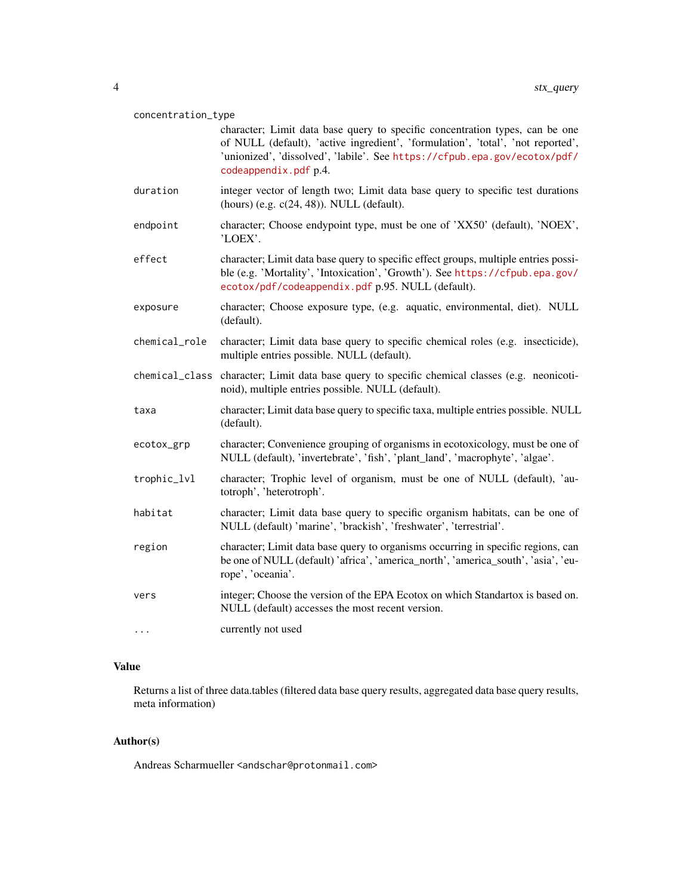#### concentration\_type

- character; Limit data base query to specific concentration types, can be one of NULL (default), 'active ingredient', 'formulation', 'total', 'not reported', 'unionized', 'dissolved', 'labile'. See [https://cfpub.epa.gov/ecotox/pdf/](https://cfpub.epa.gov/ecotox/pdf/codeappendix.pdf) [codeappendix.pdf](https://cfpub.epa.gov/ecotox/pdf/codeappendix.pdf) p.4.
- duration integer vector of length two; Limit data base query to specific test durations (hours) (e.g. c(24, 48)). NULL (default).
- endpoint character; Choose endypoint type, must be one of 'XX50' (default), 'NOEX', 'LOEX'.
- effect character; Limit data base query to specific effect groups, multiple entries possible (e.g. 'Mortality', 'Intoxication', 'Growth'). See [https://cfpub.epa.gov/](https://cfpub.epa.gov/ecotox/pdf/codeappendix.pdf) [ecotox/pdf/codeappendix.pdf](https://cfpub.epa.gov/ecotox/pdf/codeappendix.pdf) p.95. NULL (default).
- exposure character; Choose exposure type, (e.g. aquatic, environmental, diet). NULL (default).
- chemical\_role character; Limit data base query to specific chemical roles (e.g. insecticide), multiple entries possible. NULL (default).
- chemical\_class character; Limit data base query to specific chemical classes (e.g. neonicotinoid), multiple entries possible. NULL (default).
- taxa character; Limit data base query to specific taxa, multiple entries possible. NULL (default).
- ecotox\_grp character; Convenience grouping of organisms in ecotoxicology, must be one of NULL (default), 'invertebrate', 'fish', 'plant\_land', 'macrophyte', 'algae'.
- trophic\_lvl character; Trophic level of organism, must be one of NULL (default), 'autotroph', 'heterotroph'.
- habitat character; Limit data base query to specific organism habitats, can be one of NULL (default) 'marine', 'brackish', 'freshwater', 'terrestrial'.
- region character; Limit data base query to organisms occurring in specific regions, can be one of NULL (default) 'africa', 'america\_north', 'america\_south', 'asia', 'europe', 'oceania'.
- vers integer; Choose the version of the EPA Ecotox on which Standartox is based on. NULL (default) accesses the most recent version.
- ... currently not used

#### Value

Returns a list of three data.tables (filtered data base query results, aggregated data base query results, meta information)

#### Author(s)

Andreas Scharmueller <andschar@protonmail.com>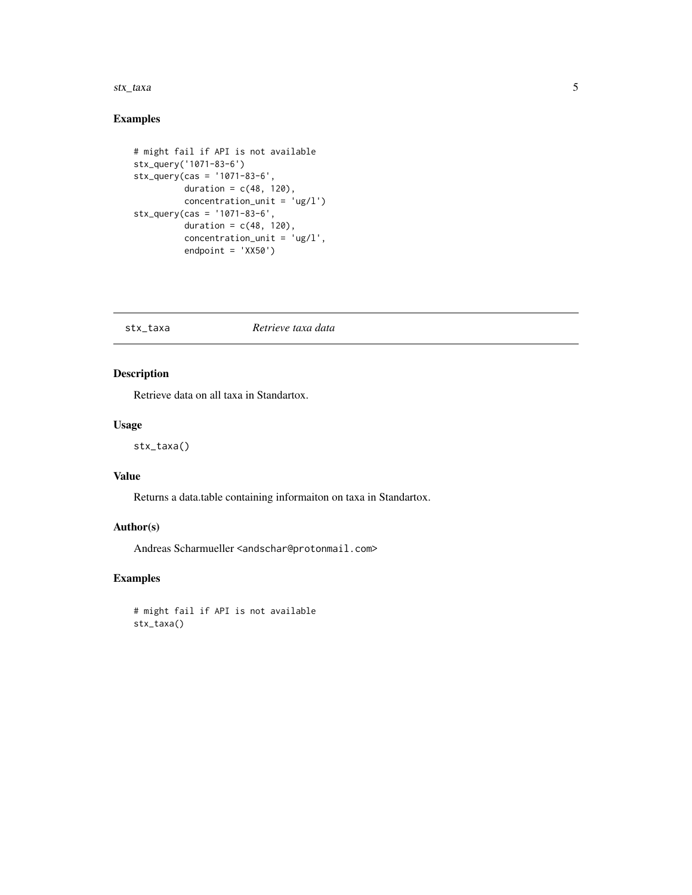#### <span id="page-4-0"></span>stx\_taxa 5

#### Examples

```
# might fail if API is not available
stx_query('1071-83-6')
stx_query(cas = '1071-83-6',
          duration = c(48, 120),
          concentration_unit = 'ug/l')
stx_query(cas = '1071-83-6',
          duration = c(48, 120),
          concentration_unit = 'ug/l',
          endpoint = 'XX50')
```
#### stx\_taxa *Retrieve taxa data*

#### Description

Retrieve data on all taxa in Standartox.

#### Usage

stx\_taxa()

#### Value

Returns a data.table containing informaiton on taxa in Standartox.

#### Author(s)

Andreas Scharmueller <andschar@protonmail.com>

#### Examples

# might fail if API is not available stx\_taxa()